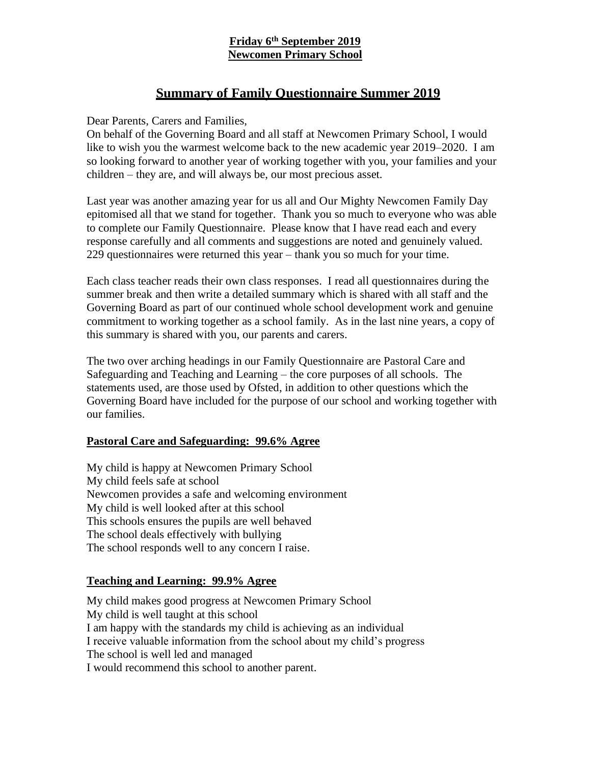# **Friday 6 th September 2019 Newcomen Primary School**

# **Summary of Family Questionnaire Summer 2019**

Dear Parents, Carers and Families,

On behalf of the Governing Board and all staff at Newcomen Primary School, I would like to wish you the warmest welcome back to the new academic year 2019–2020. I am so looking forward to another year of working together with you, your families and your children – they are, and will always be, our most precious asset.

Last year was another amazing year for us all and Our Mighty Newcomen Family Day epitomised all that we stand for together. Thank you so much to everyone who was able to complete our Family Questionnaire. Please know that I have read each and every response carefully and all comments and suggestions are noted and genuinely valued. 229 questionnaires were returned this year – thank you so much for your time.

Each class teacher reads their own class responses. I read all questionnaires during the summer break and then write a detailed summary which is shared with all staff and the Governing Board as part of our continued whole school development work and genuine commitment to working together as a school family. As in the last nine years, a copy of this summary is shared with you, our parents and carers.

The two over arching headings in our Family Questionnaire are Pastoral Care and Safeguarding and Teaching and Learning – the core purposes of all schools. The statements used, are those used by Ofsted, in addition to other questions which the Governing Board have included for the purpose of our school and working together with our families.

### **Pastoral Care and Safeguarding: 99.6% Agree**

My child is happy at Newcomen Primary School My child feels safe at school Newcomen provides a safe and welcoming environment My child is well looked after at this school This schools ensures the pupils are well behaved The school deals effectively with bullying The school responds well to any concern I raise.

### **Teaching and Learning: 99.9% Agree**

My child makes good progress at Newcomen Primary School My child is well taught at this school I am happy with the standards my child is achieving as an individual I receive valuable information from the school about my child's progress The school is well led and managed I would recommend this school to another parent.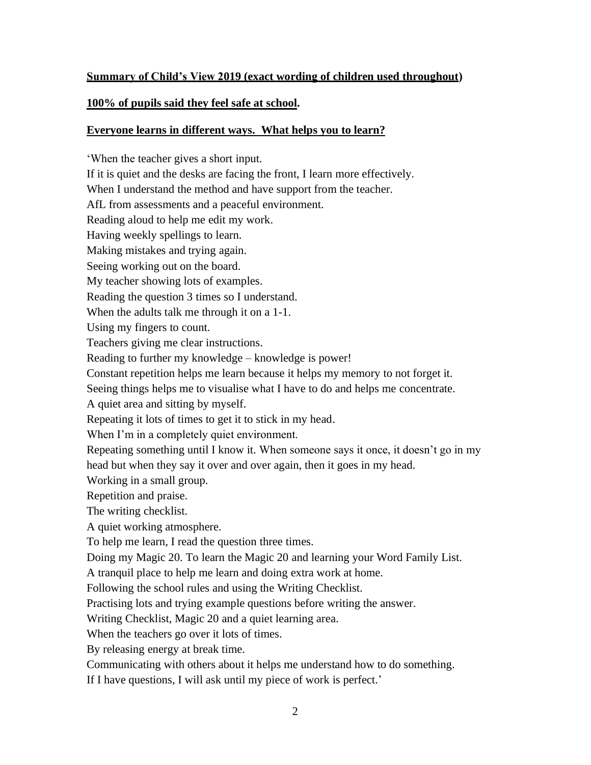## **Summary of Child's View 2019 (exact wording of children used throughout)**

## **100% of pupils said they feel safe at school.**

## **Everyone learns in different ways. What helps you to learn?**

'When the teacher gives a short input. If it is quiet and the desks are facing the front, I learn more effectively. When I understand the method and have support from the teacher. AfL from assessments and a peaceful environment. Reading aloud to help me edit my work. Having weekly spellings to learn. Making mistakes and trying again. Seeing working out on the board. My teacher showing lots of examples. Reading the question 3 times so I understand. When the adults talk me through it on a 1-1. Using my fingers to count. Teachers giving me clear instructions. Reading to further my knowledge – knowledge is power! Constant repetition helps me learn because it helps my memory to not forget it. Seeing things helps me to visualise what I have to do and helps me concentrate. A quiet area and sitting by myself. Repeating it lots of times to get it to stick in my head. When I'm in a completely quiet environment. Repeating something until I know it. When someone says it once, it doesn't go in my head but when they say it over and over again, then it goes in my head. Working in a small group. Repetition and praise. The writing checklist. A quiet working atmosphere. To help me learn, I read the question three times. Doing my Magic 20. To learn the Magic 20 and learning your Word Family List. A tranquil place to help me learn and doing extra work at home. Following the school rules and using the Writing Checklist. Practising lots and trying example questions before writing the answer. Writing Checklist, Magic 20 and a quiet learning area. When the teachers go over it lots of times. By releasing energy at break time. Communicating with others about it helps me understand how to do something.

If I have questions, I will ask until my piece of work is perfect.'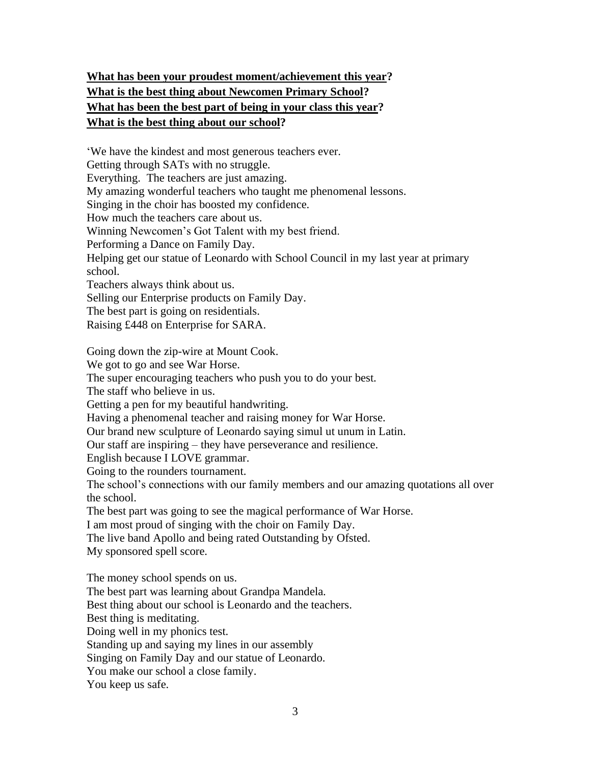# **What has been your proudest moment/achievement this year? What is the best thing about Newcomen Primary School? What has been the best part of being in your class this year? What is the best thing about our school?**

'We have the kindest and most generous teachers ever. Getting through SATs with no struggle. Everything. The teachers are just amazing. My amazing wonderful teachers who taught me phenomenal lessons. Singing in the choir has boosted my confidence. How much the teachers care about us. Winning Newcomen's Got Talent with my best friend. Performing a Dance on Family Day. Helping get our statue of Leonardo with School Council in my last year at primary school. Teachers always think about us. Selling our Enterprise products on Family Day. The best part is going on residentials. Raising £448 on Enterprise for SARA. Going down the zip-wire at Mount Cook. We got to go and see War Horse. The super encouraging teachers who push you to do your best. The staff who believe in us. Getting a pen for my beautiful handwriting. Having a phenomenal teacher and raising money for War Horse. Our brand new sculpture of Leonardo saying simul ut unum in Latin. Our staff are inspiring – they have perseverance and resilience. English because I LOVE grammar. Going to the rounders tournament. The school's connections with our family members and our amazing quotations all over the school. The best part was going to see the magical performance of War Horse. I am most proud of singing with the choir on Family Day. The live band Apollo and being rated Outstanding by Ofsted. My sponsored spell score. The money school spends on us. The best part was learning about Grandpa Mandela. Best thing about our school is Leonardo and the teachers. Best thing is meditating. Doing well in my phonics test. Standing up and saying my lines in our assembly

Singing on Family Day and our statue of Leonardo.

You make our school a close family.

You keep us safe.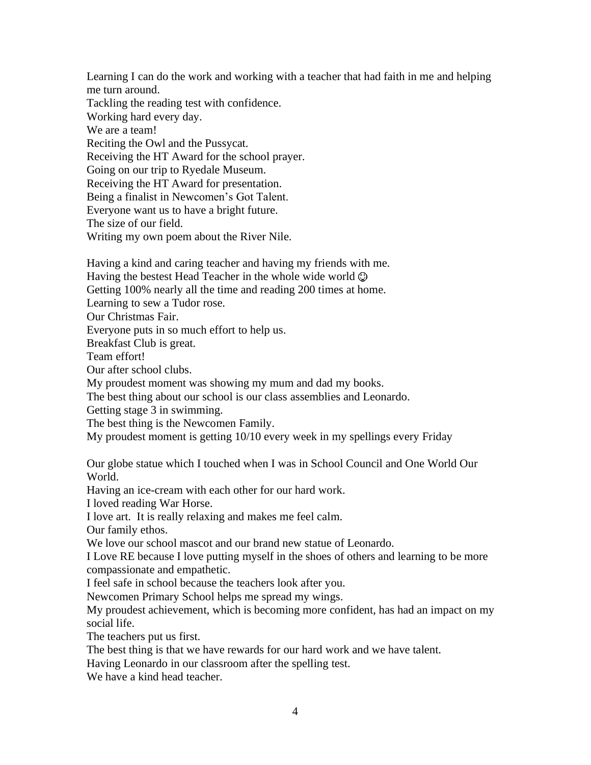Learning I can do the work and working with a teacher that had faith in me and helping me turn around.

Tackling the reading test with confidence. Working hard every day. We are a team! Reciting the Owl and the Pussycat. Receiving the HT Award for the school prayer. Going on our trip to Ryedale Museum. Receiving the HT Award for presentation. Being a finalist in Newcomen's Got Talent. Everyone want us to have a bright future. The size of our field. Writing my own poem about the River Nile.

Having a kind and caring teacher and having my friends with me. Having the bestest Head Teacher in the whole wide world  $\odot$ Getting 100% nearly all the time and reading 200 times at home. Learning to sew a Tudor rose. Our Christmas Fair. Everyone puts in so much effort to help us. Breakfast Club is great. Team effort! Our after school clubs. My proudest moment was showing my mum and dad my books.

The best thing about our school is our class assemblies and Leonardo.

Getting stage 3 in swimming.

The best thing is the Newcomen Family.

My proudest moment is getting 10/10 every week in my spellings every Friday

Our globe statue which I touched when I was in School Council and One World Our World.

Having an ice-cream with each other for our hard work.

I loved reading War Horse.

I love art. It is really relaxing and makes me feel calm.

Our family ethos.

We love our school mascot and our brand new statue of Leonardo.

I Love RE because I love putting myself in the shoes of others and learning to be more compassionate and empathetic.

I feel safe in school because the teachers look after you.

Newcomen Primary School helps me spread my wings.

My proudest achievement, which is becoming more confident, has had an impact on my social life.

The teachers put us first.

The best thing is that we have rewards for our hard work and we have talent.

Having Leonardo in our classroom after the spelling test.

We have a kind head teacher.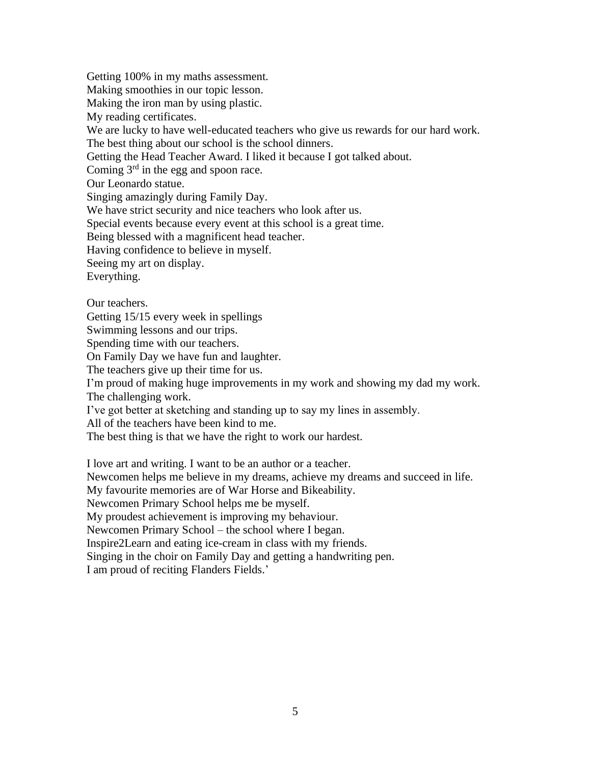Getting 100% in my maths assessment. Making smoothies in our topic lesson. Making the iron man by using plastic. My reading certificates. We are lucky to have well-educated teachers who give us rewards for our hard work. The best thing about our school is the school dinners. Getting the Head Teacher Award. I liked it because I got talked about. Coming 3rd in the egg and spoon race. Our Leonardo statue. Singing amazingly during Family Day. We have strict security and nice teachers who look after us. Special events because every event at this school is a great time. Being blessed with a magnificent head teacher. Having confidence to believe in myself. Seeing my art on display. Everything. Our teachers. Getting 15/15 every week in spellings Swimming lessons and our trips. Spending time with our teachers. On Family Day we have fun and laughter.

The teachers give up their time for us.

I'm proud of making huge improvements in my work and showing my dad my work. The challenging work.

I've got better at sketching and standing up to say my lines in assembly.

All of the teachers have been kind to me.

The best thing is that we have the right to work our hardest.

I love art and writing. I want to be an author or a teacher.

Newcomen helps me believe in my dreams, achieve my dreams and succeed in life.

My favourite memories are of War Horse and Bikeability.

Newcomen Primary School helps me be myself.

My proudest achievement is improving my behaviour.

Newcomen Primary School – the school where I began.

Inspire2Learn and eating ice-cream in class with my friends.

Singing in the choir on Family Day and getting a handwriting pen.

I am proud of reciting Flanders Fields.'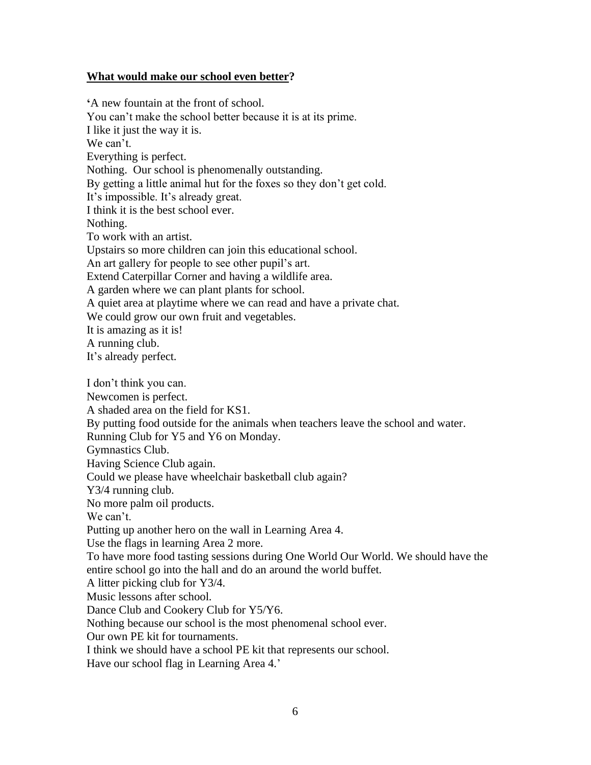#### **What would make our school even better?**

**'**A new fountain at the front of school. You can't make the school better because it is at its prime. I like it just the way it is. We can't. Everything is perfect. Nothing. Our school is phenomenally outstanding. By getting a little animal hut for the foxes so they don't get cold. It's impossible. It's already great. I think it is the best school ever. Nothing. To work with an artist. Upstairs so more children can join this educational school. An art gallery for people to see other pupil's art. Extend Caterpillar Corner and having a wildlife area. A garden where we can plant plants for school. A quiet area at playtime where we can read and have a private chat. We could grow our own fruit and vegetables. It is amazing as it is! A running club. It's already perfect. I don't think you can. Newcomen is perfect. A shaded area on the field for KS1. By putting food outside for the animals when teachers leave the school and water. Running Club for Y5 and Y6 on Monday. Gymnastics Club. Having Science Club again. Could we please have wheelchair basketball club again? Y3/4 running club. No more palm oil products. We can't. Putting up another hero on the wall in Learning Area 4. Use the flags in learning Area 2 more. To have more food tasting sessions during One World Our World. We should have the entire school go into the hall and do an around the world buffet. A litter picking club for Y3/4. Music lessons after school. Dance Club and Cookery Club for Y5/Y6. Nothing because our school is the most phenomenal school ever. Our own PE kit for tournaments. I think we should have a school PE kit that represents our school. Have our school flag in Learning Area 4.'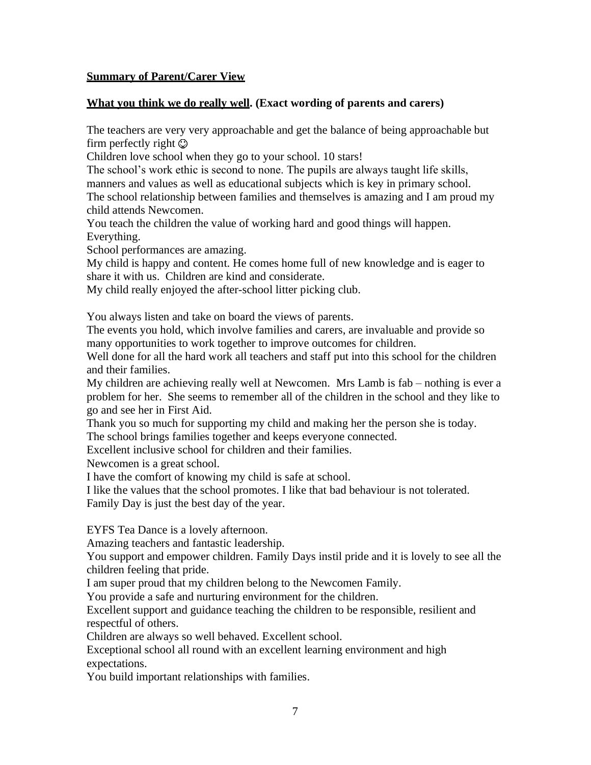#### **Summary of Parent/Carer View**

#### **What you think we do really well. (Exact wording of parents and carers)**

The teachers are very very approachable and get the balance of being approachable but firm perfectly right  $\odot$ 

Children love school when they go to your school. 10 stars!

The school's work ethic is second to none. The pupils are always taught life skills,

manners and values as well as educational subjects which is key in primary school.

The school relationship between families and themselves is amazing and I am proud my child attends Newcomen.

You teach the children the value of working hard and good things will happen. Everything.

School performances are amazing.

My child is happy and content. He comes home full of new knowledge and is eager to share it with us. Children are kind and considerate.

My child really enjoyed the after-school litter picking club.

You always listen and take on board the views of parents.

The events you hold, which involve families and carers, are invaluable and provide so many opportunities to work together to improve outcomes for children.

Well done for all the hard work all teachers and staff put into this school for the children and their families.

My children are achieving really well at Newcomen. Mrs Lamb is fab – nothing is ever a problem for her. She seems to remember all of the children in the school and they like to go and see her in First Aid.

Thank you so much for supporting my child and making her the person she is today.

The school brings families together and keeps everyone connected.

Excellent inclusive school for children and their families.

Newcomen is a great school.

I have the comfort of knowing my child is safe at school.

I like the values that the school promotes. I like that bad behaviour is not tolerated.

Family Day is just the best day of the year.

EYFS Tea Dance is a lovely afternoon.

Amazing teachers and fantastic leadership.

You support and empower children. Family Days instil pride and it is lovely to see all the children feeling that pride.

I am super proud that my children belong to the Newcomen Family.

You provide a safe and nurturing environment for the children.

Excellent support and guidance teaching the children to be responsible, resilient and respectful of others.

Children are always so well behaved. Excellent school.

Exceptional school all round with an excellent learning environment and high expectations.

You build important relationships with families.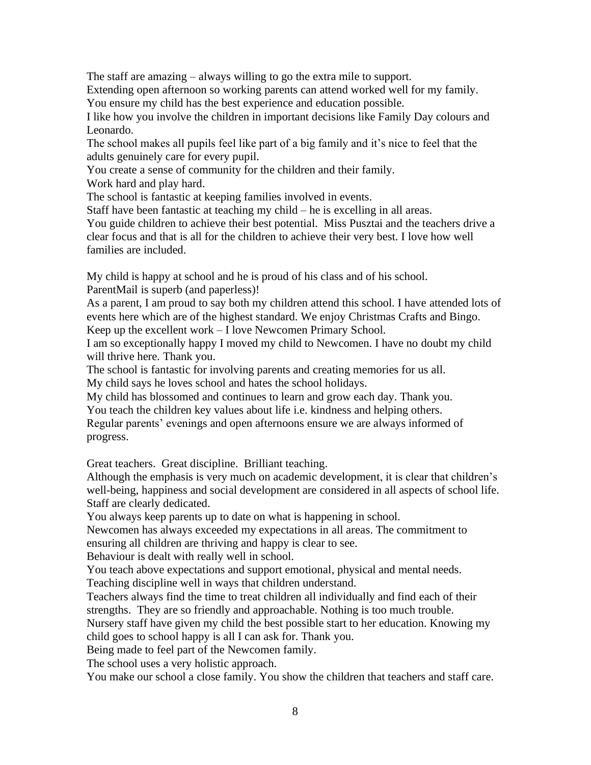The staff are amazing – always willing to go the extra mile to support.

Extending open afternoon so working parents can attend worked well for my family.

You ensure my child has the best experience and education possible.

I like how you involve the children in important decisions like Family Day colours and Leonardo.

The school makes all pupils feel like part of a big family and it's nice to feel that the adults genuinely care for every pupil.

You create a sense of community for the children and their family.

Work hard and play hard.

The school is fantastic at keeping families involved in events.

Staff have been fantastic at teaching my child – he is excelling in all areas.

You guide children to achieve their best potential. Miss Pusztai and the teachers drive a clear focus and that is all for the children to achieve their very best. I love how well families are included.

My child is happy at school and he is proud of his class and of his school.

ParentMail is superb (and paperless)!

As a parent, I am proud to say both my children attend this school. I have attended lots of events here which are of the highest standard. We enjoy Christmas Crafts and Bingo. Keep up the excellent work – I love Newcomen Primary School.

I am so exceptionally happy I moved my child to Newcomen. I have no doubt my child will thrive here. Thank you.

The school is fantastic for involving parents and creating memories for us all. My child says he loves school and hates the school holidays.

My child has blossomed and continues to learn and grow each day. Thank you. You teach the children key values about life i.e. kindness and helping others.

Regular parents' evenings and open afternoons ensure we are always informed of progress.

Great teachers. Great discipline. Brilliant teaching.

Although the emphasis is very much on academic development, it is clear that children's well-being, happiness and social development are considered in all aspects of school life. Staff are clearly dedicated.

You always keep parents up to date on what is happening in school.

Newcomen has always exceeded my expectations in all areas. The commitment to ensuring all children are thriving and happy is clear to see.

Behaviour is dealt with really well in school.

You teach above expectations and support emotional, physical and mental needs. Teaching discipline well in ways that children understand.

Teachers always find the time to treat children all individually and find each of their strengths. They are so friendly and approachable. Nothing is too much trouble.

Nursery staff have given my child the best possible start to her education. Knowing my child goes to school happy is all I can ask for. Thank you.

Being made to feel part of the Newcomen family.

The school uses a very holistic approach.

You make our school a close family. You show the children that teachers and staff care.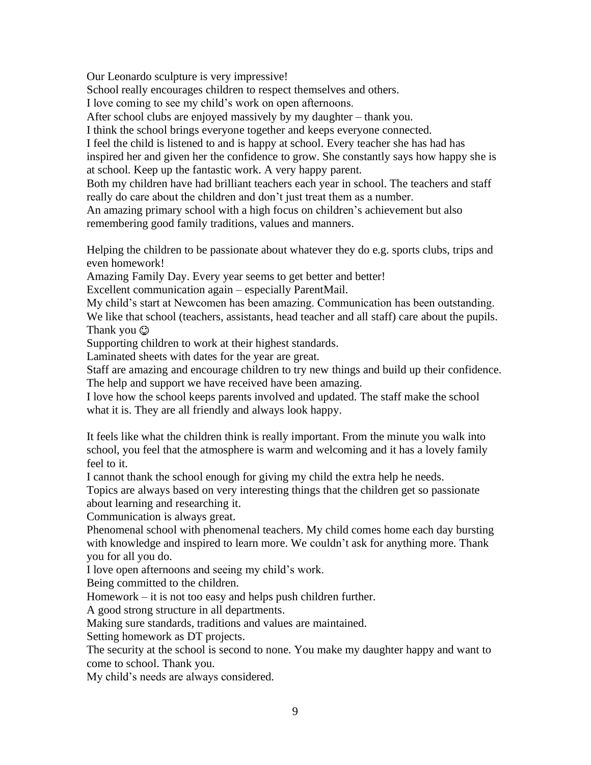Our Leonardo sculpture is very impressive!

School really encourages children to respect themselves and others.

I love coming to see my child's work on open afternoons.

After school clubs are enjoyed massively by my daughter – thank you.

I think the school brings everyone together and keeps everyone connected.

I feel the child is listened to and is happy at school. Every teacher she has had has inspired her and given her the confidence to grow. She constantly says how happy she is at school. Keep up the fantastic work. A very happy parent.

Both my children have had brilliant teachers each year in school. The teachers and staff really do care about the children and don't just treat them as a number.

An amazing primary school with a high focus on children's achievement but also remembering good family traditions, values and manners.

Helping the children to be passionate about whatever they do e.g. sports clubs, trips and even homework!

Amazing Family Day. Every year seems to get better and better!

Excellent communication again – especially ParentMail.

My child's start at Newcomen has been amazing. Communication has been outstanding. We like that school (teachers, assistants, head teacher and all staff) care about the pupils. Thank you  $\odot$ 

Supporting children to work at their highest standards.

Laminated sheets with dates for the year are great.

Staff are amazing and encourage children to try new things and build up their confidence. The help and support we have received have been amazing.

I love how the school keeps parents involved and updated. The staff make the school what it is. They are all friendly and always look happy.

It feels like what the children think is really important. From the minute you walk into school, you feel that the atmosphere is warm and welcoming and it has a lovely family feel to it.

I cannot thank the school enough for giving my child the extra help he needs.

Topics are always based on very interesting things that the children get so passionate about learning and researching it.

Communication is always great.

Phenomenal school with phenomenal teachers. My child comes home each day bursting with knowledge and inspired to learn more. We couldn't ask for anything more. Thank you for all you do.

I love open afternoons and seeing my child's work.

Being committed to the children.

Homework – it is not too easy and helps push children further.

A good strong structure in all departments.

Making sure standards, traditions and values are maintained.

Setting homework as DT projects.

The security at the school is second to none. You make my daughter happy and want to come to school. Thank you.

My child's needs are always considered.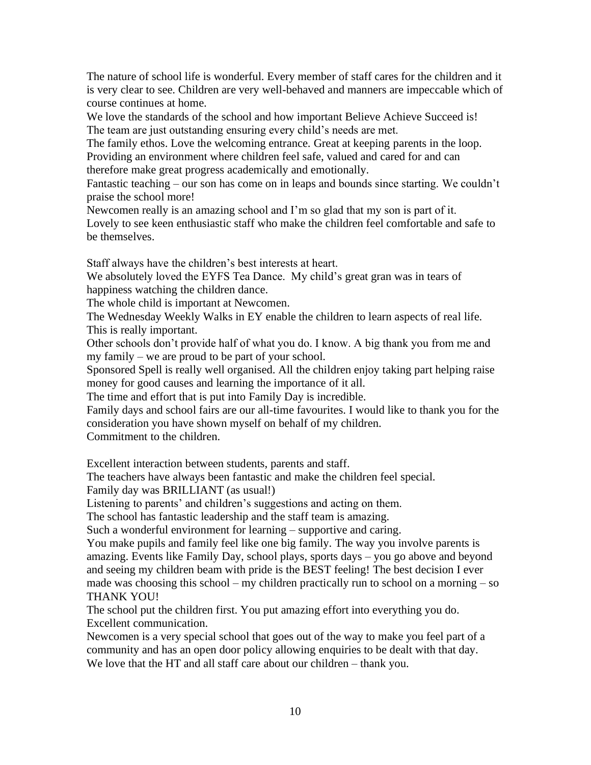The nature of school life is wonderful. Every member of staff cares for the children and it is very clear to see. Children are very well-behaved and manners are impeccable which of course continues at home.

We love the standards of the school and how important Believe Achieve Succeed is! The team are just outstanding ensuring every child's needs are met.

The family ethos. Love the welcoming entrance. Great at keeping parents in the loop. Providing an environment where children feel safe, valued and cared for and can therefore make great progress academically and emotionally.

Fantastic teaching – our son has come on in leaps and bounds since starting. We couldn't praise the school more!

Newcomen really is an amazing school and I'm so glad that my son is part of it. Lovely to see keen enthusiastic staff who make the children feel comfortable and safe to be themselves.

Staff always have the children's best interests at heart.

We absolutely loved the EYFS Tea Dance. My child's great gran was in tears of happiness watching the children dance.

The whole child is important at Newcomen.

The Wednesday Weekly Walks in EY enable the children to learn aspects of real life. This is really important.

Other schools don't provide half of what you do. I know. A big thank you from me and my family – we are proud to be part of your school.

Sponsored Spell is really well organised. All the children enjoy taking part helping raise money for good causes and learning the importance of it all.

The time and effort that is put into Family Day is incredible.

Family days and school fairs are our all-time favourites. I would like to thank you for the consideration you have shown myself on behalf of my children.

Commitment to the children.

Excellent interaction between students, parents and staff.

The teachers have always been fantastic and make the children feel special.

Family day was BRILLIANT (as usual!)

Listening to parents' and children's suggestions and acting on them.

The school has fantastic leadership and the staff team is amazing.

Such a wonderful environment for learning – supportive and caring.

You make pupils and family feel like one big family. The way you involve parents is amazing. Events like Family Day, school plays, sports days – you go above and beyond and seeing my children beam with pride is the BEST feeling! The best decision I ever made was choosing this school – my children practically run to school on a morning – so THANK YOU!

The school put the children first. You put amazing effort into everything you do. Excellent communication.

Newcomen is a very special school that goes out of the way to make you feel part of a community and has an open door policy allowing enquiries to be dealt with that day. We love that the HT and all staff care about our children – thank you.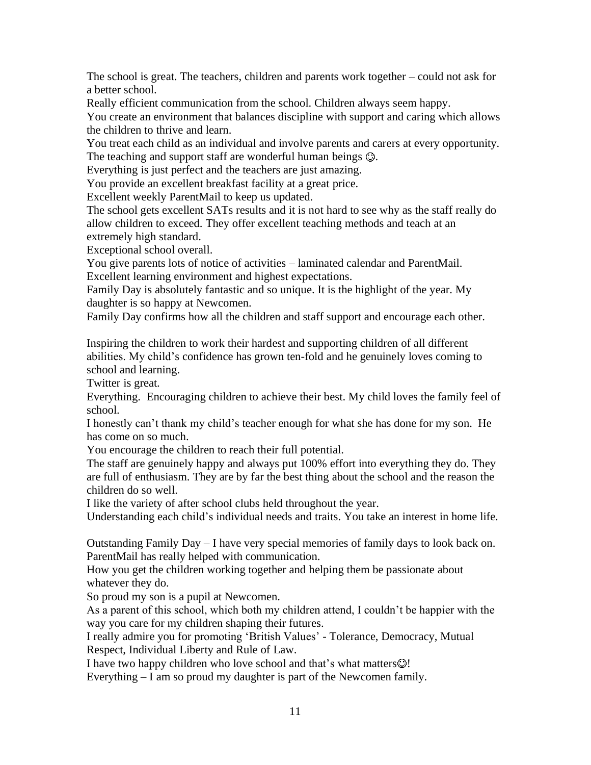The school is great. The teachers, children and parents work together – could not ask for a better school.

Really efficient communication from the school. Children always seem happy.

You create an environment that balances discipline with support and caring which allows the children to thrive and learn.

You treat each child as an individual and involve parents and carers at every opportunity. The teaching and support staff are wonderful human beings  $\mathcal{Q}$ .

Everything is just perfect and the teachers are just amazing.

You provide an excellent breakfast facility at a great price.

Excellent weekly ParentMail to keep us updated.

The school gets excellent SATs results and it is not hard to see why as the staff really do allow children to exceed. They offer excellent teaching methods and teach at an extremely high standard.

Exceptional school overall.

You give parents lots of notice of activities – laminated calendar and ParentMail. Excellent learning environment and highest expectations.

Family Day is absolutely fantastic and so unique. It is the highlight of the year. My daughter is so happy at Newcomen.

Family Day confirms how all the children and staff support and encourage each other.

Inspiring the children to work their hardest and supporting children of all different abilities. My child's confidence has grown ten-fold and he genuinely loves coming to school and learning.

Twitter is great.

Everything. Encouraging children to achieve their best. My child loves the family feel of school.

I honestly can't thank my child's teacher enough for what she has done for my son. He has come on so much.

You encourage the children to reach their full potential.

The staff are genuinely happy and always put 100% effort into everything they do. They are full of enthusiasm. They are by far the best thing about the school and the reason the children do so well.

I like the variety of after school clubs held throughout the year.

Understanding each child's individual needs and traits. You take an interest in home life.

Outstanding Family Day – I have very special memories of family days to look back on. ParentMail has really helped with communication.

How you get the children working together and helping them be passionate about whatever they do.

So proud my son is a pupil at Newcomen.

As a parent of this school, which both my children attend, I couldn't be happier with the way you care for my children shaping their futures.

I really admire you for promoting 'British Values' - Tolerance, Democracy, Mutual Respect, Individual Liberty and Rule of Law.

I have two happy children who love school and that's what matters $\odot$ !

Everything – I am so proud my daughter is part of the Newcomen family.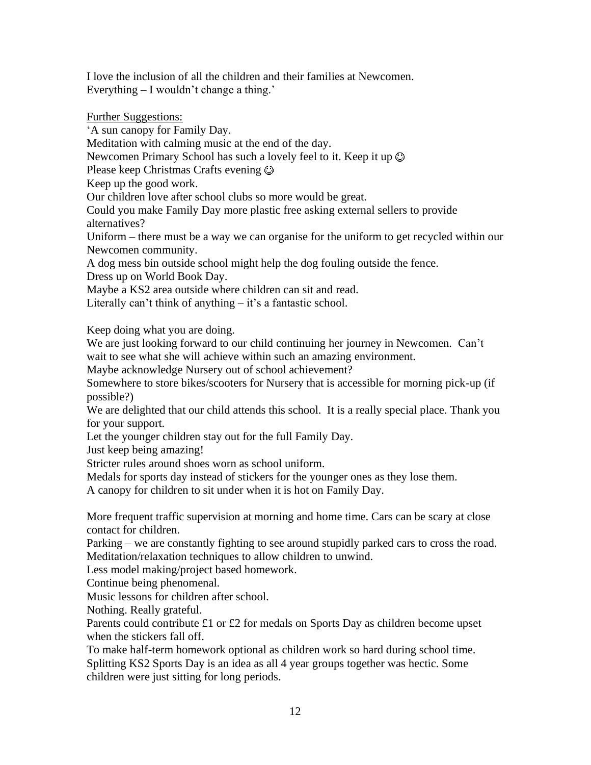I love the inclusion of all the children and their families at Newcomen. Everything – I wouldn't change a thing.'

### Further Suggestions:

'A sun canopy for Family Day.

Meditation with calming music at the end of the day.

Newcomen Primary School has such a lovely feel to it. Keep it up  $\odot$ 

Please keep Christmas Crafts evening

Keep up the good work.

Our children love after school clubs so more would be great.

Could you make Family Day more plastic free asking external sellers to provide alternatives?

Uniform – there must be a way we can organise for the uniform to get recycled within our Newcomen community.

A dog mess bin outside school might help the dog fouling outside the fence.

Dress up on World Book Day.

Maybe a KS2 area outside where children can sit and read.

Literally can't think of anything  $-$  it's a fantastic school.

Keep doing what you are doing.

We are just looking forward to our child continuing her journey in Newcomen. Can't wait to see what she will achieve within such an amazing environment.

Maybe acknowledge Nursery out of school achievement?

Somewhere to store bikes/scooters for Nursery that is accessible for morning pick-up (if possible?)

We are delighted that our child attends this school. It is a really special place. Thank you for your support.

Let the younger children stay out for the full Family Day.

Just keep being amazing!

Stricter rules around shoes worn as school uniform.

Medals for sports day instead of stickers for the younger ones as they lose them.

A canopy for children to sit under when it is hot on Family Day.

More frequent traffic supervision at morning and home time. Cars can be scary at close contact for children.

Parking – we are constantly fighting to see around stupidly parked cars to cross the road. Meditation/relaxation techniques to allow children to unwind.

Less model making/project based homework.

Continue being phenomenal.

Music lessons for children after school.

Nothing. Really grateful.

Parents could contribute £1 or £2 for medals on Sports Day as children become upset when the stickers fall off.

To make half-term homework optional as children work so hard during school time. Splitting KS2 Sports Day is an idea as all 4 year groups together was hectic. Some children were just sitting for long periods.